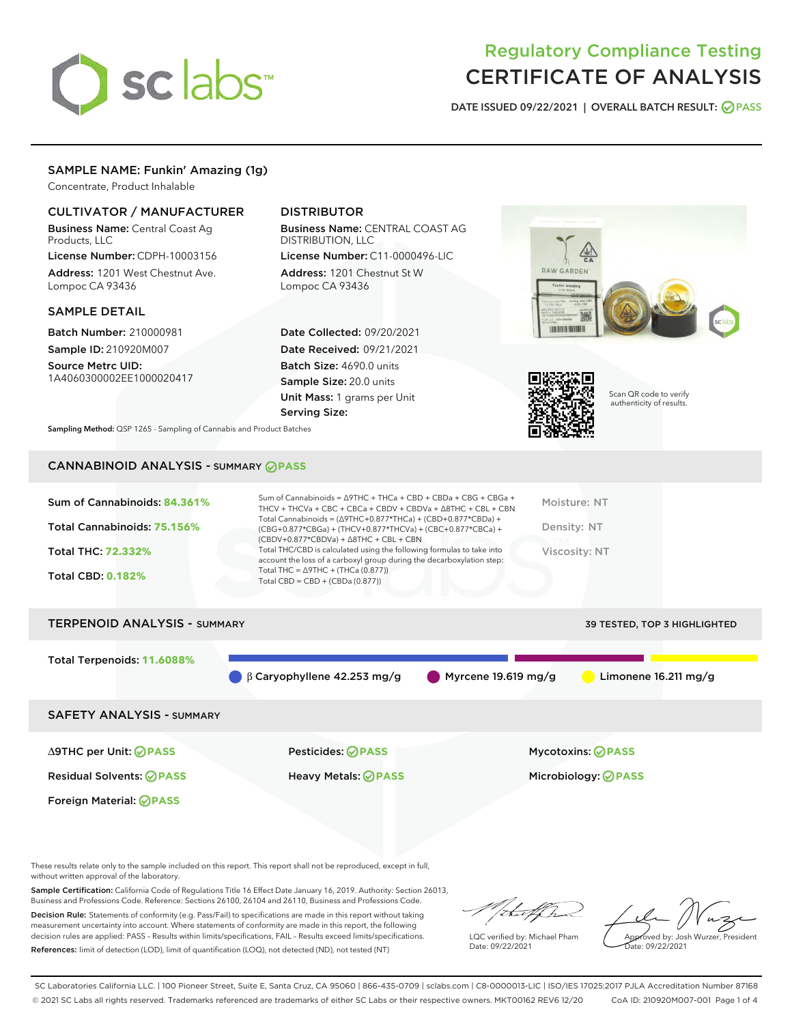

# Regulatory Compliance Testing CERTIFICATE OF ANALYSIS

DATE ISSUED 09/22/2021 | OVERALL BATCH RESULT: @ PASS

#### SAMPLE NAME: Funkin' Amazing (1g)

Concentrate, Product Inhalable

#### CULTIVATOR / MANUFACTURER

Business Name: Central Coast Ag Products, LLC

License Number: CDPH-10003156 Address: 1201 West Chestnut Ave. Lompoc CA 93436

#### SAMPLE DETAIL

Batch Number: 210000981 Sample ID: 210920M007

Source Metrc UID: 1A4060300002EE1000020417

### DISTRIBUTOR

Business Name: CENTRAL COAST AG DISTRIBUTION, LLC License Number: C11-0000496-LIC

Address: 1201 Chestnut St W Lompoc CA 93436

Date Collected: 09/20/2021 Date Received: 09/21/2021 Batch Size: 4690.0 units Sample Size: 20.0 units Unit Mass: 1 grams per Unit Serving Size:





Scan QR code to verify authenticity of results.

Sampling Method: QSP 1265 - Sampling of Cannabis and Product Batches

## CANNABINOID ANALYSIS - SUMMARY **PASS**

| Sum of Cannabinoids: 84.361% | Sum of Cannabinoids = $\triangle$ 9THC + THCa + CBD + CBDa + CBG + CBGa +<br>THCV + THCVa + CBC + CBCa + CBDV + CBDVa + $\Delta$ 8THC + CBL + CBN                                    | Moisture: NT  |
|------------------------------|--------------------------------------------------------------------------------------------------------------------------------------------------------------------------------------|---------------|
| Total Cannabinoids: 75.156%  | Total Cannabinoids = $(\Delta$ 9THC+0.877*THCa) + (CBD+0.877*CBDa) +<br>(CBG+0.877*CBGa) + (THCV+0.877*THCVa) + (CBC+0.877*CBCa) +<br>$(CBDV+0.877*CBDVa) + \Delta 8THC + CBL + CBN$ | Density: NT   |
| Total THC: 72.332%           | Total THC/CBD is calculated using the following formulas to take into<br>account the loss of a carboxyl group during the decarboxylation step:                                       | Viscosity: NT |
| <b>Total CBD: 0.182%</b>     | Total THC = $\triangle$ 9THC + (THCa (0.877))<br>Total CBD = $CBD + (CBDa (0.877))$                                                                                                  |               |
|                              |                                                                                                                                                                                      |               |
|                              |                                                                                                                                                                                      |               |

# TERPENOID ANALYSIS - SUMMARY 39 TESTED, TOP 3 HIGHLIGHTED Total Terpenoids: **11.6088%** β Caryophyllene 42.253 mg/g Myrcene 19.619 mg/g Limonene 16.211 mg/g SAFETY ANALYSIS - SUMMARY

∆9THC per Unit: **PASS** Pesticides: **PASS** Mycotoxins: **PASS**

Foreign Material: **PASS**

Residual Solvents: **PASS** Heavy Metals: **PASS** Microbiology: **PASS**

These results relate only to the sample included on this report. This report shall not be reproduced, except in full, without written approval of the laboratory.

Sample Certification: California Code of Regulations Title 16 Effect Date January 16, 2019. Authority: Section 26013, Business and Professions Code. Reference: Sections 26100, 26104 and 26110, Business and Professions Code.

Decision Rule: Statements of conformity (e.g. Pass/Fail) to specifications are made in this report without taking measurement uncertainty into account. Where statements of conformity are made in this report, the following decision rules are applied: PASS – Results within limits/specifications, FAIL – Results exceed limits/specifications. References: limit of detection (LOD), limit of quantification (LOQ), not detected (ND), not tested (NT)

that f(h

LQC verified by: Michael Pham Date: 09/22/2021

Approved by: Josh Wurzer, President ate: 09/22/2021

SC Laboratories California LLC. | 100 Pioneer Street, Suite E, Santa Cruz, CA 95060 | 866-435-0709 | sclabs.com | C8-0000013-LIC | ISO/IES 17025:2017 PJLA Accreditation Number 87168 © 2021 SC Labs all rights reserved. Trademarks referenced are trademarks of either SC Labs or their respective owners. MKT00162 REV6 12/20 CoA ID: 210920M007-001 Page 1 of 4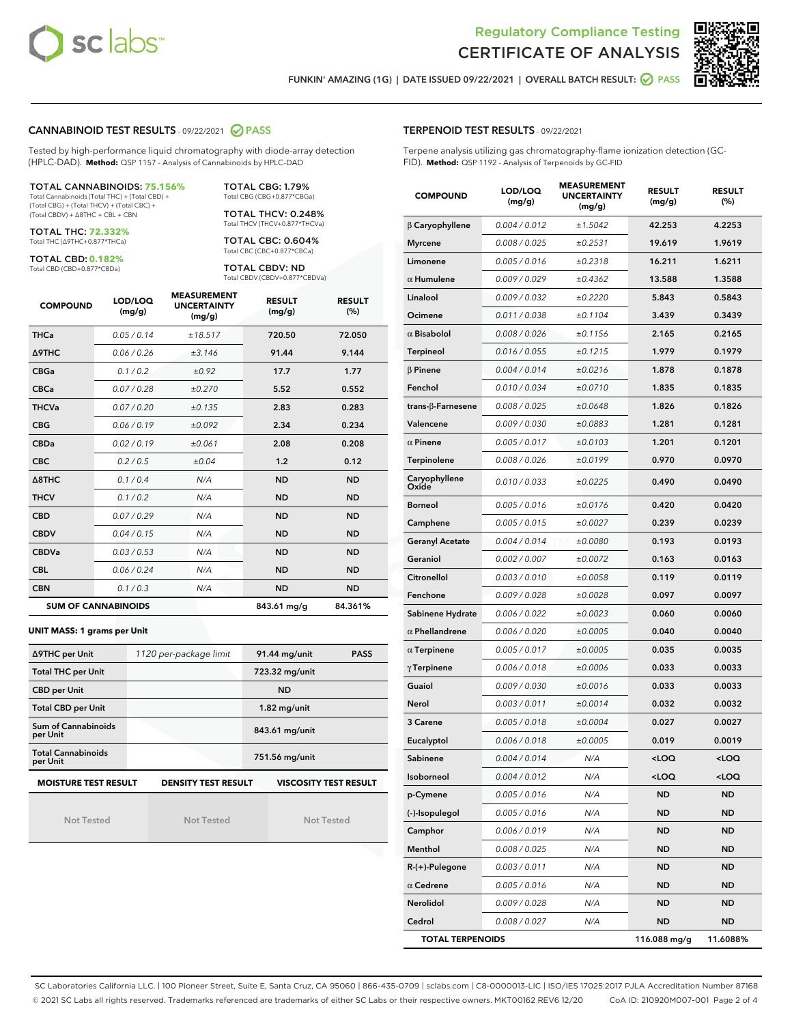



FUNKIN' AMAZING (1G) | DATE ISSUED 09/22/2021 | OVERALL BATCH RESULT: **O PASS** 

#### CANNABINOID TEST RESULTS - 09/22/2021 2 PASS

Tested by high-performance liquid chromatography with diode-array detection (HPLC-DAD). **Method:** QSP 1157 - Analysis of Cannabinoids by HPLC-DAD

#### TOTAL CANNABINOIDS: **75.156%** Total Cannabinoids (Total THC) + (Total CBD) +

(Total CBG) + (Total THCV) + (Total CBC) + (Total CBDV) + ∆8THC + CBL + CBN

TOTAL THC: **72.332%** Total THC (∆9THC+0.877\*THCa)

TOTAL CBD: **0.182%**

Total CBD (CBD+0.877\*CBDa)

TOTAL CBG: 1.79% Total CBG (CBG+0.877\*CBGa)

TOTAL THCV: 0.248% Total THCV (THCV+0.877\*THCVa)

TOTAL CBC: 0.604% Total CBC (CBC+0.877\*CBCa)

TOTAL CBDV: ND Total CBDV (CBDV+0.877\*CBDVa)

| <b>COMPOUND</b>  | LOD/LOQ<br>(mg/g)          | <b>MEASUREMENT</b><br><b>UNCERTAINTY</b><br>(mg/g) | <b>RESULT</b><br>(mg/g) | <b>RESULT</b><br>(%) |
|------------------|----------------------------|----------------------------------------------------|-------------------------|----------------------|
| <b>THCa</b>      | 0.05/0.14                  | ±18.517                                            | 720.50                  | 72.050               |
| <b>A9THC</b>     | 0.06 / 0.26                | ±3.146                                             | 91.44                   | 9.144                |
| <b>CBGa</b>      | 0.1/0.2                    | ±0.92                                              | 17.7                    | 1.77                 |
| <b>CBCa</b>      | 0.07 / 0.28                | ±0.270                                             | 5.52                    | 0.552                |
| <b>THCVa</b>     | 0.07/0.20                  | ±0.135                                             | 2.83                    | 0.283                |
| <b>CBG</b>       | 0.06/0.19                  | ±0.092                                             | 2.34                    | 0.234                |
| <b>CBDa</b>      | 0.02/0.19                  | ±0.061                                             | 2.08                    | 0.208                |
| <b>CBC</b>       | 0.2 / 0.5                  | ±0.04                                              | 1.2                     | 0.12                 |
| $\triangle$ 8THC | 0.1/0.4                    | N/A                                                | <b>ND</b>               | <b>ND</b>            |
| <b>THCV</b>      | 0.1/0.2                    | N/A                                                | <b>ND</b>               | <b>ND</b>            |
| <b>CBD</b>       | 0.07/0.29                  | N/A                                                | <b>ND</b>               | <b>ND</b>            |
| <b>CBDV</b>      | 0.04 / 0.15                | N/A                                                | <b>ND</b>               | <b>ND</b>            |
| <b>CBDVa</b>     | 0.03/0.53                  | N/A                                                | <b>ND</b>               | <b>ND</b>            |
| <b>CBL</b>       | 0.06 / 0.24                | N/A                                                | <b>ND</b>               | <b>ND</b>            |
| <b>CBN</b>       | 0.1/0.3                    | N/A                                                | <b>ND</b>               | <b>ND</b>            |
|                  | <b>SUM OF CANNABINOIDS</b> |                                                    | 843.61 mg/g             | 84.361%              |

#### **UNIT MASS: 1 grams per Unit**

| ∆9THC per Unit                        | 1120 per-package limit     | 91.44 mg/unit<br><b>PASS</b> |
|---------------------------------------|----------------------------|------------------------------|
| <b>Total THC per Unit</b>             |                            | 723.32 mg/unit               |
| <b>CBD per Unit</b>                   |                            | <b>ND</b>                    |
| <b>Total CBD per Unit</b>             |                            | $1.82$ mg/unit               |
| Sum of Cannabinoids<br>per Unit       |                            | 843.61 mg/unit               |
| <b>Total Cannabinoids</b><br>per Unit |                            | 751.56 mg/unit               |
| <b>MOISTURE TEST RESULT</b>           | <b>DENSITY TEST RESULT</b> | <b>VISCOSITY TEST RESULT</b> |

Not Tested

Not Tested

Not Tested

#### TERPENOID TEST RESULTS - 09/22/2021

Terpene analysis utilizing gas chromatography-flame ionization detection (GC-FID). **Method:** QSP 1192 - Analysis of Terpenoids by GC-FID

| <b>COMPOUND</b>           | LOD/LOQ<br>(mg/g) | <b>MEASUREMENT</b><br><b>UNCERTAINTY</b><br>(mg/g) | <b>RESULT</b><br>(mg/g)                          | <b>RESULT</b><br>$(\%)$ |
|---------------------------|-------------------|----------------------------------------------------|--------------------------------------------------|-------------------------|
| $\beta$ Caryophyllene     | 0.004 / 0.012     | ±1.5042                                            | 42.253                                           | 4.2253                  |
| <b>Myrcene</b>            | 0.008 / 0.025     | ±0.2531                                            | 19.619                                           | 1.9619                  |
| Limonene                  | 0.005 / 0.016     | ±0.2318                                            | 16.211                                           | 1.6211                  |
| $\alpha$ Humulene         | 0.009 / 0.029     | ±0.4362                                            | 13.588                                           | 1.3588                  |
| Linalool                  | 0.009 / 0.032     | ±0.2220                                            | 5.843                                            | 0.5843                  |
| Ocimene                   | 0.011 / 0.038     | ±0.1104                                            | 3.439                                            | 0.3439                  |
| $\alpha$ Bisabolol        | 0.008 / 0.026     | ±0.1156                                            | 2.165                                            | 0.2165                  |
| <b>Terpineol</b>          | 0.016 / 0.055     | ±0.1215                                            | 1.979                                            | 0.1979                  |
| $\beta$ Pinene            | 0.004 / 0.014     | ±0.0216                                            | 1.878                                            | 0.1878                  |
| Fenchol                   | 0.010 / 0.034     | ±0.0710                                            | 1.835                                            | 0.1835                  |
| trans- $\beta$ -Farnesene | 0.008 / 0.025     | ±0.0648                                            | 1.826                                            | 0.1826                  |
| Valencene                 | 0.009 / 0.030     | ±0.0883                                            | 1.281                                            | 0.1281                  |
| $\alpha$ Pinene           | 0.005 / 0.017     | ±0.0103                                            | 1.201                                            | 0.1201                  |
| Terpinolene               | 0.008 / 0.026     | ±0.0199                                            | 0.970                                            | 0.0970                  |
| Caryophyllene<br>Oxide    | 0.010 / 0.033     | ±0.0225                                            | 0.490                                            | 0.0490                  |
| <b>Borneol</b>            | 0.005 / 0.016     | ±0.0176                                            | 0.420                                            | 0.0420                  |
| Camphene                  | 0.005 / 0.015     | ±0.0027                                            | 0.239                                            | 0.0239                  |
| <b>Geranyl Acetate</b>    | 0.004 / 0.014     | ±0.0080                                            | 0.193                                            | 0.0193                  |
| Geraniol                  | 0.002 / 0.007     | ±0.0072                                            | 0.163                                            | 0.0163                  |
| Citronellol               | 0.003 / 0.010     | ±0.0058                                            | 0.119                                            | 0.0119                  |
| Fenchone                  | 0.009 / 0.028     | ±0.0028                                            | 0.097                                            | 0.0097                  |
| Sabinene Hydrate          | 0.006 / 0.022     | ±0.0023                                            | 0.060                                            | 0.0060                  |
| $\alpha$ Phellandrene     | 0.006 / 0.020     | ±0.0005                                            | 0.040                                            | 0.0040                  |
| $\alpha$ Terpinene        | 0.005 / 0.017     | ±0.0005                                            | 0.035                                            | 0.0035                  |
| $\gamma$ Terpinene        | 0.006 / 0.018     | ±0.0006                                            | 0.033                                            | 0.0033                  |
| Guaiol                    | 0.009 / 0.030     | ±0.0016                                            | 0.033                                            | 0.0033                  |
| Nerol                     | 0.003 / 0.011     | ±0.0014                                            | 0.032                                            | 0.0032                  |
| 3 Carene                  | 0.005 / 0.018     | ±0.0004                                            | 0.027                                            | 0.0027                  |
| Eucalyptol                | 0.006 / 0.018     | ±0.0005                                            | 0.019                                            | 0.0019                  |
| Sabinene                  | 0.004 / 0.014     | N/A                                                | <loq< th=""><th><loq< th=""></loq<></th></loq<>  | <loq< th=""></loq<>     |
| Isoborneol                | 0.004 / 0.012     | N/A                                                | <loq< th=""><th><math>&lt;</math>LOQ</th></loq<> | $<$ LOQ                 |
| p-Cymene                  | 0.005 / 0.016     | N/A                                                | ND                                               | ND                      |
| (-)-Isopulegol            | 0.005 / 0.016     | N/A                                                | <b>ND</b>                                        | <b>ND</b>               |
| Camphor                   | 0.006 / 0.019     | N/A                                                | ND                                               | <b>ND</b>               |
| Menthol                   | 0.008 / 0.025     | N/A                                                | ND                                               | ND                      |
| R-(+)-Pulegone            | 0.003 / 0.011     | N/A                                                | ND                                               | ND                      |
| $\alpha$ Cedrene          | 0.005 / 0.016     | N/A                                                | ND                                               | <b>ND</b>               |
| Nerolidol                 | 0.009 / 0.028     | N/A                                                | ND                                               | ND                      |
| Cedrol                    | 0.008 / 0.027     | N/A                                                | ND                                               | <b>ND</b>               |
| <b>TOTAL TERPENOIDS</b>   |                   | 116.088 mg/g                                       | 11.6088%                                         |                         |

SC Laboratories California LLC. | 100 Pioneer Street, Suite E, Santa Cruz, CA 95060 | 866-435-0709 | sclabs.com | C8-0000013-LIC | ISO/IES 17025:2017 PJLA Accreditation Number 87168 © 2021 SC Labs all rights reserved. Trademarks referenced are trademarks of either SC Labs or their respective owners. MKT00162 REV6 12/20 CoA ID: 210920M007-001 Page 2 of 4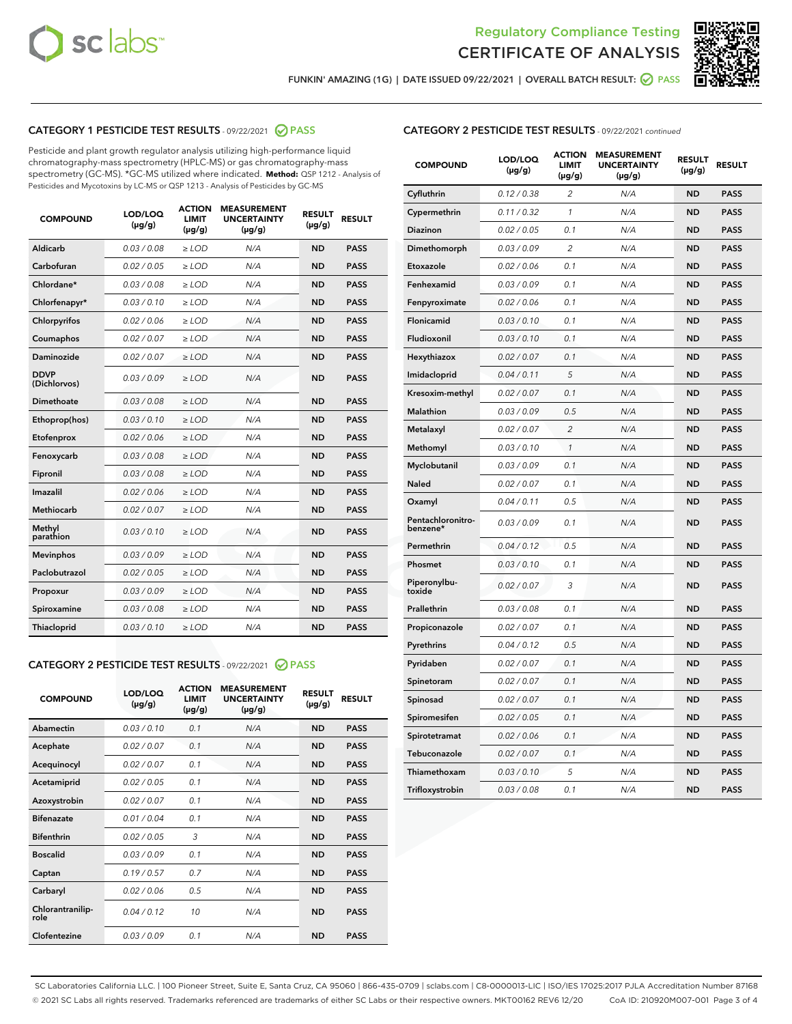



FUNKIN' AMAZING (1G) | DATE ISSUED 09/22/2021 | OVERALL BATCH RESULT: @ PASS

### CATEGORY 1 PESTICIDE TEST RESULTS - 09/22/2021 2 PASS

Pesticide and plant growth regulator analysis utilizing high-performance liquid chromatography-mass spectrometry (HPLC-MS) or gas chromatography-mass spectrometry (GC-MS). \*GC-MS utilized where indicated. **Method:** QSP 1212 - Analysis of Pesticides and Mycotoxins by LC-MS or QSP 1213 - Analysis of Pesticides by GC-MS

| Aldicarb<br>0.03 / 0.08<br><b>ND</b><br>$\ge$ LOD<br>N/A<br><b>PASS</b><br>Carbofuran<br>0.02/0.05<br>N/A<br><b>ND</b><br><b>PASS</b><br>$\ge$ LOD<br>Chlordane*<br>0.03 / 0.08<br><b>ND</b><br><b>PASS</b><br>$\ge$ LOD<br>N/A<br>0.03/0.10<br><b>ND</b><br><b>PASS</b><br>Chlorfenapyr*<br>$\ge$ LOD<br>N/A<br>Chlorpyrifos<br>0.02 / 0.06<br>N/A<br><b>ND</b><br><b>PASS</b><br>$\ge$ LOD<br>0.02 / 0.07<br>N/A<br><b>ND</b><br><b>PASS</b><br>Coumaphos<br>$>$ LOD<br><b>ND</b><br><b>PASS</b><br>Daminozide<br>0.02 / 0.07<br>$\ge$ LOD<br>N/A<br><b>DDVP</b><br>0.03/0.09<br>$\ge$ LOD<br>N/A<br><b>ND</b><br><b>PASS</b><br>(Dichlorvos)<br>Dimethoate<br><b>ND</b><br><b>PASS</b><br>0.03 / 0.08<br>$>$ LOD<br>N/A<br>Ethoprop(hos)<br>0.03/0.10<br>$\ge$ LOD<br>N/A<br><b>ND</b><br><b>PASS</b><br>0.02 / 0.06<br>$\ge$ LOD<br>N/A<br><b>ND</b><br><b>PASS</b><br>Etofenprox<br>Fenoxycarb<br>0.03 / 0.08<br>$>$ LOD<br>N/A<br><b>ND</b><br><b>PASS</b><br>0.03/0.08<br><b>ND</b><br><b>PASS</b><br>Fipronil<br>$\ge$ LOD<br>N/A<br>Imazalil<br>0.02 / 0.06<br>$>$ LOD<br>N/A<br><b>ND</b><br><b>PASS</b><br>Methiocarb<br>0.02 / 0.07<br>N/A<br><b>ND</b><br><b>PASS</b><br>$\ge$ LOD<br>Methyl<br>0.03/0.10<br>$\ge$ LOD<br>N/A<br><b>ND</b><br><b>PASS</b><br>parathion<br>0.03/0.09<br>$\ge$ LOD<br>N/A<br><b>ND</b><br><b>PASS</b><br><b>Mevinphos</b><br>Paclobutrazol<br>0.02 / 0.05<br>$\ge$ LOD<br>N/A<br><b>ND</b><br><b>PASS</b><br>0.03/0.09<br>N/A<br>$\ge$ LOD<br><b>ND</b><br><b>PASS</b><br>Propoxur<br>0.03 / 0.08<br><b>ND</b><br><b>PASS</b><br>Spiroxamine<br>$\ge$ LOD<br>N/A<br><b>PASS</b><br>Thiacloprid<br>0.03/0.10<br>$\ge$ LOD<br>N/A<br><b>ND</b> | <b>COMPOUND</b> | LOD/LOQ<br>$(\mu g/g)$ | <b>ACTION</b><br><b>LIMIT</b><br>$(\mu g/g)$ | <b>MEASUREMENT</b><br><b>UNCERTAINTY</b><br>$(\mu g/g)$ | <b>RESULT</b><br>$(\mu g/g)$ | <b>RESULT</b> |
|-----------------------------------------------------------------------------------------------------------------------------------------------------------------------------------------------------------------------------------------------------------------------------------------------------------------------------------------------------------------------------------------------------------------------------------------------------------------------------------------------------------------------------------------------------------------------------------------------------------------------------------------------------------------------------------------------------------------------------------------------------------------------------------------------------------------------------------------------------------------------------------------------------------------------------------------------------------------------------------------------------------------------------------------------------------------------------------------------------------------------------------------------------------------------------------------------------------------------------------------------------------------------------------------------------------------------------------------------------------------------------------------------------------------------------------------------------------------------------------------------------------------------------------------------------------------------------------------------------------------------------------------------------------------------------------------|-----------------|------------------------|----------------------------------------------|---------------------------------------------------------|------------------------------|---------------|
|                                                                                                                                                                                                                                                                                                                                                                                                                                                                                                                                                                                                                                                                                                                                                                                                                                                                                                                                                                                                                                                                                                                                                                                                                                                                                                                                                                                                                                                                                                                                                                                                                                                                                         |                 |                        |                                              |                                                         |                              |               |
|                                                                                                                                                                                                                                                                                                                                                                                                                                                                                                                                                                                                                                                                                                                                                                                                                                                                                                                                                                                                                                                                                                                                                                                                                                                                                                                                                                                                                                                                                                                                                                                                                                                                                         |                 |                        |                                              |                                                         |                              |               |
|                                                                                                                                                                                                                                                                                                                                                                                                                                                                                                                                                                                                                                                                                                                                                                                                                                                                                                                                                                                                                                                                                                                                                                                                                                                                                                                                                                                                                                                                                                                                                                                                                                                                                         |                 |                        |                                              |                                                         |                              |               |
|                                                                                                                                                                                                                                                                                                                                                                                                                                                                                                                                                                                                                                                                                                                                                                                                                                                                                                                                                                                                                                                                                                                                                                                                                                                                                                                                                                                                                                                                                                                                                                                                                                                                                         |                 |                        |                                              |                                                         |                              |               |
|                                                                                                                                                                                                                                                                                                                                                                                                                                                                                                                                                                                                                                                                                                                                                                                                                                                                                                                                                                                                                                                                                                                                                                                                                                                                                                                                                                                                                                                                                                                                                                                                                                                                                         |                 |                        |                                              |                                                         |                              |               |
|                                                                                                                                                                                                                                                                                                                                                                                                                                                                                                                                                                                                                                                                                                                                                                                                                                                                                                                                                                                                                                                                                                                                                                                                                                                                                                                                                                                                                                                                                                                                                                                                                                                                                         |                 |                        |                                              |                                                         |                              |               |
|                                                                                                                                                                                                                                                                                                                                                                                                                                                                                                                                                                                                                                                                                                                                                                                                                                                                                                                                                                                                                                                                                                                                                                                                                                                                                                                                                                                                                                                                                                                                                                                                                                                                                         |                 |                        |                                              |                                                         |                              |               |
|                                                                                                                                                                                                                                                                                                                                                                                                                                                                                                                                                                                                                                                                                                                                                                                                                                                                                                                                                                                                                                                                                                                                                                                                                                                                                                                                                                                                                                                                                                                                                                                                                                                                                         |                 |                        |                                              |                                                         |                              |               |
|                                                                                                                                                                                                                                                                                                                                                                                                                                                                                                                                                                                                                                                                                                                                                                                                                                                                                                                                                                                                                                                                                                                                                                                                                                                                                                                                                                                                                                                                                                                                                                                                                                                                                         |                 |                        |                                              |                                                         |                              |               |
|                                                                                                                                                                                                                                                                                                                                                                                                                                                                                                                                                                                                                                                                                                                                                                                                                                                                                                                                                                                                                                                                                                                                                                                                                                                                                                                                                                                                                                                                                                                                                                                                                                                                                         |                 |                        |                                              |                                                         |                              |               |
|                                                                                                                                                                                                                                                                                                                                                                                                                                                                                                                                                                                                                                                                                                                                                                                                                                                                                                                                                                                                                                                                                                                                                                                                                                                                                                                                                                                                                                                                                                                                                                                                                                                                                         |                 |                        |                                              |                                                         |                              |               |
|                                                                                                                                                                                                                                                                                                                                                                                                                                                                                                                                                                                                                                                                                                                                                                                                                                                                                                                                                                                                                                                                                                                                                                                                                                                                                                                                                                                                                                                                                                                                                                                                                                                                                         |                 |                        |                                              |                                                         |                              |               |
|                                                                                                                                                                                                                                                                                                                                                                                                                                                                                                                                                                                                                                                                                                                                                                                                                                                                                                                                                                                                                                                                                                                                                                                                                                                                                                                                                                                                                                                                                                                                                                                                                                                                                         |                 |                        |                                              |                                                         |                              |               |
|                                                                                                                                                                                                                                                                                                                                                                                                                                                                                                                                                                                                                                                                                                                                                                                                                                                                                                                                                                                                                                                                                                                                                                                                                                                                                                                                                                                                                                                                                                                                                                                                                                                                                         |                 |                        |                                              |                                                         |                              |               |
|                                                                                                                                                                                                                                                                                                                                                                                                                                                                                                                                                                                                                                                                                                                                                                                                                                                                                                                                                                                                                                                                                                                                                                                                                                                                                                                                                                                                                                                                                                                                                                                                                                                                                         |                 |                        |                                              |                                                         |                              |               |
|                                                                                                                                                                                                                                                                                                                                                                                                                                                                                                                                                                                                                                                                                                                                                                                                                                                                                                                                                                                                                                                                                                                                                                                                                                                                                                                                                                                                                                                                                                                                                                                                                                                                                         |                 |                        |                                              |                                                         |                              |               |
|                                                                                                                                                                                                                                                                                                                                                                                                                                                                                                                                                                                                                                                                                                                                                                                                                                                                                                                                                                                                                                                                                                                                                                                                                                                                                                                                                                                                                                                                                                                                                                                                                                                                                         |                 |                        |                                              |                                                         |                              |               |
|                                                                                                                                                                                                                                                                                                                                                                                                                                                                                                                                                                                                                                                                                                                                                                                                                                                                                                                                                                                                                                                                                                                                                                                                                                                                                                                                                                                                                                                                                                                                                                                                                                                                                         |                 |                        |                                              |                                                         |                              |               |
|                                                                                                                                                                                                                                                                                                                                                                                                                                                                                                                                                                                                                                                                                                                                                                                                                                                                                                                                                                                                                                                                                                                                                                                                                                                                                                                                                                                                                                                                                                                                                                                                                                                                                         |                 |                        |                                              |                                                         |                              |               |
|                                                                                                                                                                                                                                                                                                                                                                                                                                                                                                                                                                                                                                                                                                                                                                                                                                                                                                                                                                                                                                                                                                                                                                                                                                                                                                                                                                                                                                                                                                                                                                                                                                                                                         |                 |                        |                                              |                                                         |                              |               |
|                                                                                                                                                                                                                                                                                                                                                                                                                                                                                                                                                                                                                                                                                                                                                                                                                                                                                                                                                                                                                                                                                                                                                                                                                                                                                                                                                                                                                                                                                                                                                                                                                                                                                         |                 |                        |                                              |                                                         |                              |               |

#### CATEGORY 2 PESTICIDE TEST RESULTS - 09/22/2021 @ PASS

| <b>COMPOUND</b>          | LOD/LOQ<br>$(\mu g/g)$ | <b>ACTION</b><br><b>LIMIT</b><br>$(\mu g/g)$ | <b>MEASUREMENT</b><br><b>UNCERTAINTY</b><br>$(\mu g/g)$ | <b>RESULT</b><br>$(\mu g/g)$ | <b>RESULT</b> |
|--------------------------|------------------------|----------------------------------------------|---------------------------------------------------------|------------------------------|---------------|
| Abamectin                | 0.03/0.10              | 0.1                                          | N/A                                                     | <b>ND</b>                    | <b>PASS</b>   |
| Acephate                 | 0.02/0.07              | 0.1                                          | N/A                                                     | <b>ND</b>                    | <b>PASS</b>   |
| Acequinocyl              | 0.02/0.07              | 0.1                                          | N/A                                                     | <b>ND</b>                    | <b>PASS</b>   |
| Acetamiprid              | 0.02/0.05              | 0.1                                          | N/A                                                     | <b>ND</b>                    | <b>PASS</b>   |
| Azoxystrobin             | 0.02/0.07              | 0.1                                          | N/A                                                     | <b>ND</b>                    | <b>PASS</b>   |
| <b>Bifenazate</b>        | 0.01/0.04              | 0.1                                          | N/A                                                     | <b>ND</b>                    | <b>PASS</b>   |
| <b>Bifenthrin</b>        | 0.02 / 0.05            | 3                                            | N/A                                                     | <b>ND</b>                    | <b>PASS</b>   |
| <b>Boscalid</b>          | 0.03/0.09              | 0.1                                          | N/A                                                     | <b>ND</b>                    | <b>PASS</b>   |
| Captan                   | 0.19/0.57              | 0.7                                          | N/A                                                     | <b>ND</b>                    | <b>PASS</b>   |
| Carbaryl                 | 0.02/0.06              | 0.5                                          | N/A                                                     | <b>ND</b>                    | <b>PASS</b>   |
| Chlorantranilip-<br>role | 0.04/0.12              | 10                                           | N/A                                                     | <b>ND</b>                    | <b>PASS</b>   |
| Clofentezine             | 0.03/0.09              | 0.1                                          | N/A                                                     | <b>ND</b>                    | <b>PASS</b>   |

| <b>COMPOUND</b>               | LOD/LOQ<br>(µg/g) | <b>ACTION</b><br>LIMIT<br>$(\mu g/g)$ | <b>MEASUREMENT</b><br><b>UNCERTAINTY</b><br>$(\mu g/g)$ | <b>RESULT</b><br>(µg/g) | <b>RESULT</b> |
|-------------------------------|-------------------|---------------------------------------|---------------------------------------------------------|-------------------------|---------------|
| Cyfluthrin                    | 0.12 / 0.38       | 2                                     | N/A                                                     | <b>ND</b>               | <b>PASS</b>   |
| Cypermethrin                  | 0.11 / 0.32       | $\mathcal{I}$                         | N/A                                                     | <b>ND</b>               | <b>PASS</b>   |
| Diazinon                      | 0.02 / 0.05       | 0.1                                   | N/A                                                     | <b>ND</b>               | <b>PASS</b>   |
| Dimethomorph                  | 0.03 / 0.09       | 2                                     | N/A                                                     | <b>ND</b>               | <b>PASS</b>   |
| Etoxazole                     | 0.02 / 0.06       | 0.1                                   | N/A                                                     | <b>ND</b>               | <b>PASS</b>   |
| Fenhexamid                    | 0.03 / 0.09       | 0.1                                   | N/A                                                     | <b>ND</b>               | <b>PASS</b>   |
| Fenpyroximate                 | 0.02 / 0.06       | 0.1                                   | N/A                                                     | <b>ND</b>               | <b>PASS</b>   |
| Flonicamid                    | 0.03 / 0.10       | 0.1                                   | N/A                                                     | <b>ND</b>               | <b>PASS</b>   |
| Fludioxonil                   | 0.03 / 0.10       | 0.1                                   | N/A                                                     | <b>ND</b>               | <b>PASS</b>   |
| Hexythiazox                   | 0.02 / 0.07       | 0.1                                   | N/A                                                     | <b>ND</b>               | <b>PASS</b>   |
| Imidacloprid                  | 0.04 / 0.11       | 5                                     | N/A                                                     | <b>ND</b>               | <b>PASS</b>   |
| Kresoxim-methyl               | 0.02 / 0.07       | 0.1                                   | N/A                                                     | <b>ND</b>               | <b>PASS</b>   |
| Malathion                     | 0.03 / 0.09       | 0.5                                   | N/A                                                     | <b>ND</b>               | <b>PASS</b>   |
| Metalaxyl                     | 0.02 / 0.07       | $\overline{c}$                        | N/A                                                     | <b>ND</b>               | <b>PASS</b>   |
| Methomyl                      | 0.03 / 0.10       | $\mathcal{I}$                         | N/A                                                     | <b>ND</b>               | <b>PASS</b>   |
| Myclobutanil                  | 0.03 / 0.09       | 0.1                                   | N/A                                                     | <b>ND</b>               | <b>PASS</b>   |
| Naled                         | 0.02 / 0.07       | 0.1                                   | N/A                                                     | <b>ND</b>               | <b>PASS</b>   |
| Oxamyl                        | 0.04 / 0.11       | 0.5                                   | N/A                                                     | <b>ND</b>               | <b>PASS</b>   |
| Pentachloronitro-<br>benzene* | 0.03/0.09         | 0.1                                   | N/A                                                     | <b>ND</b>               | <b>PASS</b>   |
| Permethrin                    | 0.04 / 0.12       | 0.5                                   | N/A                                                     | <b>ND</b>               | <b>PASS</b>   |
| Phosmet                       | 0.03 / 0.10       | 0.1                                   | N/A                                                     | <b>ND</b>               | <b>PASS</b>   |
| Piperonylbu-<br>toxide        | 0.02 / 0.07       | 3                                     | N/A                                                     | <b>ND</b>               | <b>PASS</b>   |
| Prallethrin                   | 0.03 / 0.08       | 0.1                                   | N/A                                                     | <b>ND</b>               | <b>PASS</b>   |
| Propiconazole                 | 0.02 / 0.07       | 0.1                                   | N/A                                                     | <b>ND</b>               | <b>PASS</b>   |
| Pyrethrins                    | 0.04 / 0.12       | 0.5                                   | N/A                                                     | <b>ND</b>               | <b>PASS</b>   |
| Pyridaben                     | 0.02 / 0.07       | 0.1                                   | N/A                                                     | <b>ND</b>               | <b>PASS</b>   |
| Spinetoram                    | 0.02 / 0.07       | 0.1                                   | N/A                                                     | <b>ND</b>               | <b>PASS</b>   |
| Spinosad                      | 0.02 / 0.07       | 0.1                                   | N/A                                                     | <b>ND</b>               | <b>PASS</b>   |
| Spiromesifen                  | 0.02 / 0.05       | 0.1                                   | N/A                                                     | <b>ND</b>               | <b>PASS</b>   |
| Spirotetramat                 | 0.02 / 0.06       | 0.1                                   | N/A                                                     | <b>ND</b>               | <b>PASS</b>   |
| Tebuconazole                  | 0.02 / 0.07       | 0.1                                   | N/A                                                     | <b>ND</b>               | <b>PASS</b>   |
| Thiamethoxam                  | 0.03 / 0.10       | 5                                     | N/A                                                     | <b>ND</b>               | <b>PASS</b>   |
| Trifloxystrobin               | 0.03 / 0.08       | 0.1                                   | N/A                                                     | <b>ND</b>               | <b>PASS</b>   |

SC Laboratories California LLC. | 100 Pioneer Street, Suite E, Santa Cruz, CA 95060 | 866-435-0709 | sclabs.com | C8-0000013-LIC | ISO/IES 17025:2017 PJLA Accreditation Number 87168 © 2021 SC Labs all rights reserved. Trademarks referenced are trademarks of either SC Labs or their respective owners. MKT00162 REV6 12/20 CoA ID: 210920M007-001 Page 3 of 4